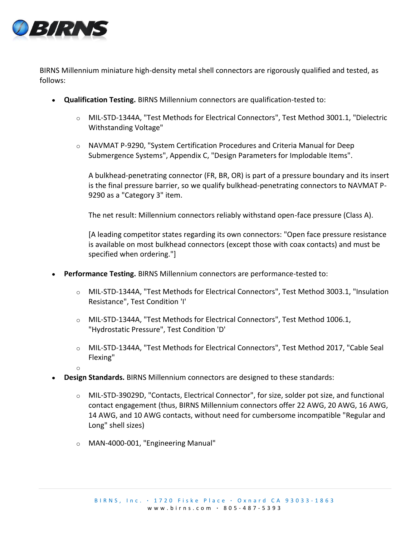

BIRNS Millennium miniature high-density metal shell connectors are rigorously qualified and tested, as follows:

- **Qualification Testing.** BIRNS Millennium connectors are qualification-tested to:
	- o MIL-STD-1344A, "Test Methods for Electrical Connectors", Test Method 3001.1, "Dielectric Withstanding Voltage"
	- o NAVMAT P-9290, "System Certification Procedures and Criteria Manual for Deep Submergence Systems", Appendix C, "Design Parameters for Implodable Items".

A bulkhead-penetrating connector (FR, BR, OR) is part of a pressure boundary and its insert is the final pressure barrier, so we qualify bulkhead-penetrating connectors to NAVMAT P-9290 as a "Category 3" item.

The net result: Millennium connectors reliably withstand open-face pressure (Class A).

[A leading competitor states regarding its own connectors: "Open face pressure resistance is available on most bulkhead connectors (except those with coax contacts) and must be specified when ordering."]

- **Performance Testing.** BIRNS Millennium connectors are performance-tested to:
	- o MIL-STD-1344A, "Test Methods for Electrical Connectors", Test Method 3003.1, "Insulation Resistance", Test Condition 'I'
	- o MIL-STD-1344A, "Test Methods for Electrical Connectors", Test Method 1006.1, "Hydrostatic Pressure", Test Condition 'D'
	- o MIL-STD-1344A, "Test Methods for Electrical Connectors", Test Method 2017, "Cable Seal Flexing"
	- o
- **Design Standards.** BIRNS Millennium connectors are designed to these standards:
	- o MIL-STD-39029D, "Contacts, Electrical Connector", for size, solder pot size, and functional contact engagement (thus, BIRNS Millennium connectors offer 22 AWG, 20 AWG, 16 AWG, 14 AWG, and 10 AWG contacts, without need for cumbersome incompatible "Regular and Long" shell sizes)
	- o MAN-4000-001, "Engineering Manual"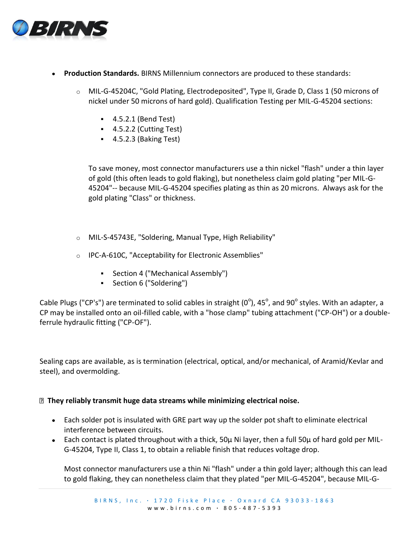

- **Production Standards.** BIRNS Millennium connectors are produced to these standards:
	- o MIL-G-45204C, "Gold Plating, Electrodeposited", Type II, Grade D, Class 1 (50 microns of nickel under 50 microns of hard gold). Qualification Testing per MIL-G-45204 sections:
		- 4.5.2.1 (Bend Test)
		- $-4.5.2.2$  (Cutting Test)
		- $-4.5.2.3$  (Baking Test)

To save money, most connector manufacturers use a thin nickel "flash" under a thin layer of gold (this often leads to gold flaking), but nonetheless claim gold plating "per MIL-G-45204"-- because MIL-G-45204 specifies plating as thin as 20 microns. Always ask for the gold plating "Class" or thickness.

- o MIL-S-45743E, "Soldering, Manual Type, High Reliability"
- o IPC-A-610C, "Acceptability for Electronic Assemblies"
	- Section 4 ("Mechanical Assembly")
	- Section 6 ("Soldering")

Cable Plugs ("CP's") are terminated to solid cables in straight (0 $^{\circ}$ ), 45 $^{\circ}$ , and 90 $^{\circ}$  styles. With an adapter, a CP may be installed onto an oil-filled cable, with a "hose clamp" tubing attachment ("CP-OH") or a doubleferrule hydraulic fitting ("CP-OF").

Sealing caps are available, as is termination (electrical, optical, and/or mechanical, of Aramid/Kevlar and steel), and overmolding.

## **They reliably transmit huge data streams while minimizing electrical noise.**

- Each solder pot is insulated with GRE part way up the solder pot shaft to eliminate electrical interference between circuits.
- Each contact is plated throughout with a thick, 50μ Ni layer, then a full 50μ of hard gold per MIL-G-45204, Type II, Class 1, to obtain a reliable finish that reduces voltage drop.

Most connector manufacturers use a thin Ni "flash" under a thin gold layer; although this can lead to gold flaking, they can nonetheless claim that they plated "per MIL-G-45204", because MIL-G-